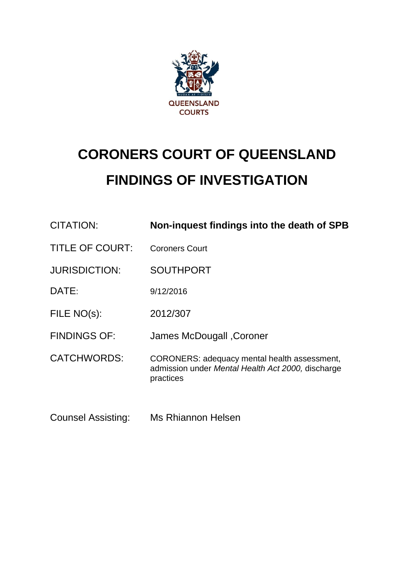

# **CORONERS COURT OF QUEENSLAND FINDINGS OF INVESTIGATION**

| <b>CITATION:</b>          | Non-inquest findings into the death of SPB                                                                     |
|---------------------------|----------------------------------------------------------------------------------------------------------------|
| <b>TITLE OF COURT:</b>    | <b>Coroners Court</b>                                                                                          |
| <b>JURISDICTION:</b>      | <b>SOUTHPORT</b>                                                                                               |
| DATE:                     | 9/12/2016                                                                                                      |
| FILE NO(s):               | 2012/307                                                                                                       |
| <b>FINDINGS OF:</b>       | James McDougall, Coroner                                                                                       |
| <b>CATCHWORDS:</b>        | CORONERS: adequacy mental health assessment,<br>admission under Mental Health Act 2000, discharge<br>practices |
| <b>Counsel Assisting:</b> | Ms Rhiannon Helsen                                                                                             |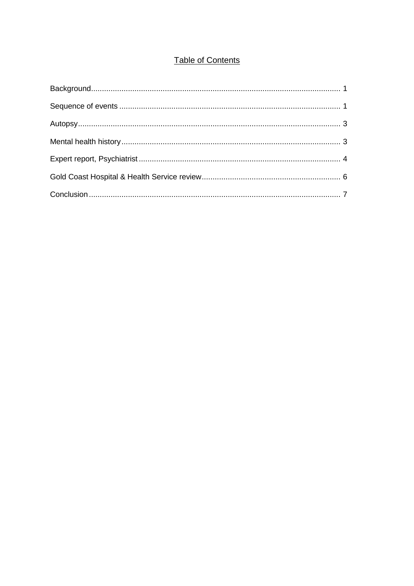# **Table of Contents**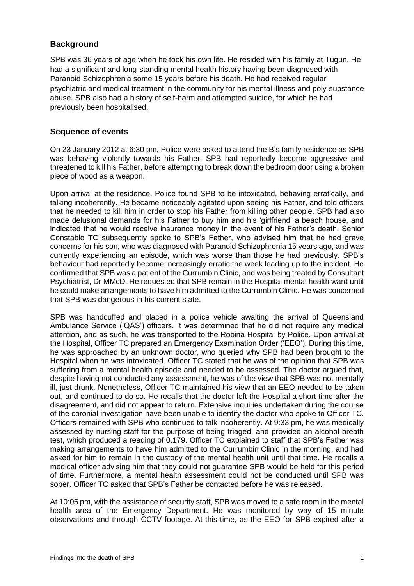## <span id="page-2-0"></span>**Background**

SPB was 36 years of age when he took his own life. He resided with his family at Tugun. He had a significant and long-standing mental health history having been diagnosed with Paranoid Schizophrenia some 15 years before his death. He had received regular psychiatric and medical treatment in the community for his mental illness and poly-substance abuse. SPB also had a history of self-harm and attempted suicide, for which he had previously been hospitalised.

## <span id="page-2-1"></span>**Sequence of events**

On 23 January 2012 at 6:30 pm, Police were asked to attend the B's family residence as SPB was behaving violently towards his Father. SPB had reportedly become aggressive and threatened to kill his Father, before attempting to break down the bedroom door using a broken piece of wood as a weapon.

Upon arrival at the residence, Police found SPB to be intoxicated, behaving erratically, and talking incoherently. He became noticeably agitated upon seeing his Father, and told officers that he needed to kill him in order to stop his Father from killing other people. SPB had also made delusional demands for his Father to buy him and his 'girlfriend' a beach house, and indicated that he would receive insurance money in the event of his Father's death. Senior Constable TC subsequently spoke to SPB's Father, who advised him that he had grave concerns for his son, who was diagnosed with Paranoid Schizophrenia 15 years ago, and was currently experiencing an episode, which was worse than those he had previously. SPB's behaviour had reportedly become increasingly erratic the week leading up to the incident. He confirmed that SPB was a patient of the Currumbin Clinic, and was being treated by Consultant Psychiatrist, Dr MMcD. He requested that SPB remain in the Hospital mental health ward until he could make arrangements to have him admitted to the Currumbin Clinic. He was concerned that SPB was dangerous in his current state.

SPB was handcuffed and placed in a police vehicle awaiting the arrival of Queensland Ambulance Service ('QAS') officers. It was determined that he did not require any medical attention, and as such, he was transported to the Robina Hospital by Police. Upon arrival at the Hospital, Officer TC prepared an Emergency Examination Order ('EEO'). During this time, he was approached by an unknown doctor, who queried why SPB had been brought to the Hospital when he was intoxicated. Officer TC stated that he was of the opinion that SPB was suffering from a mental health episode and needed to be assessed. The doctor argued that, despite having not conducted any assessment, he was of the view that SPB was not mentally ill, just drunk. Nonetheless, Officer TC maintained his view that an EEO needed to be taken out, and continued to do so. He recalls that the doctor left the Hospital a short time after the disagreement, and did not appear to return. Extensive inquiries undertaken during the course of the coronial investigation have been unable to identify the doctor who spoke to Officer TC. Officers remained with SPB who continued to talk incoherently. At 9:33 pm, he was medically assessed by nursing staff for the purpose of being triaged, and provided an alcohol breath test, which produced a reading of 0.179. Officer TC explained to staff that SPB's Father was making arrangements to have him admitted to the Currumbin Clinic in the morning, and had asked for him to remain in the custody of the mental health unit until that time. He recalls a medical officer advising him that they could not guarantee SPB would be held for this period of time. Furthermore, a mental health assessment could not be conducted until SPB was sober. Officer TC asked that SPB's Father be contacted before he was released.

At 10:05 pm, with the assistance of security staff, SPB was moved to a safe room in the mental health area of the Emergency Department. He was monitored by way of 15 minute observations and through CCTV footage. At this time, as the EEO for SPB expired after a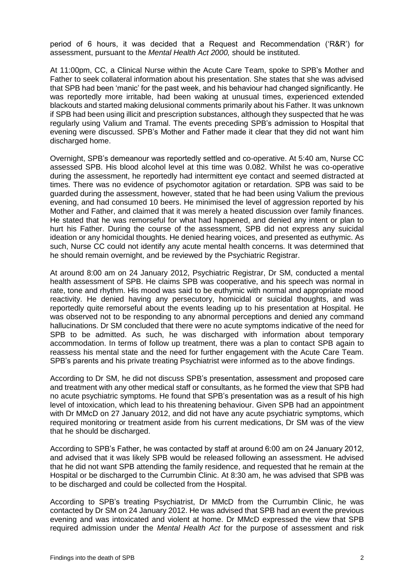period of 6 hours, it was decided that a Request and Recommendation ('R&R') for assessment, pursuant to the *Mental Health Act 2000,* should be instituted.

At 11:00pm, CC, a Clinical Nurse within the Acute Care Team, spoke to SPB's Mother and Father to seek collateral information about his presentation. She states that she was advised that SPB had been 'manic' for the past week, and his behaviour had changed significantly. He was reportedly more irritable, had been waking at unusual times, experienced extended blackouts and started making delusional comments primarily about his Father. It was unknown if SPB had been using illicit and prescription substances, although they suspected that he was regularly using Valium and Tramal. The events preceding SPB's admission to Hospital that evening were discussed. SPB's Mother and Father made it clear that they did not want him discharged home.

Overnight, SPB's demeanour was reportedly settled and co-operative. At 5:40 am, Nurse CC assessed SPB. His blood alcohol level at this time was 0.082. Whilst he was co-operative during the assessment, he reportedly had intermittent eye contact and seemed distracted at times. There was no evidence of psychomotor agitation or retardation. SPB was said to be guarded during the assessment, however, stated that he had been using Valium the previous evening, and had consumed 10 beers. He minimised the level of aggression reported by his Mother and Father, and claimed that it was merely a heated discussion over family finances. He stated that he was remorseful for what had happened, and denied any intent or plan to hurt his Father. During the course of the assessment, SPB did not express any suicidal ideation or any homicidal thoughts. He denied hearing voices, and presented as euthymic. As such, Nurse CC could not identify any acute mental health concerns. It was determined that he should remain overnight, and be reviewed by the Psychiatric Registrar.

At around 8:00 am on 24 January 2012, Psychiatric Registrar, Dr SM, conducted a mental health assessment of SPB. He claims SPB was cooperative, and his speech was normal in rate, tone and rhythm. His mood was said to be euthymic with normal and appropriate mood reactivity. He denied having any persecutory, homicidal or suicidal thoughts, and was reportedly quite remorseful about the events leading up to his presentation at Hospital. He was observed not to be responding to any abnormal perceptions and denied any command hallucinations. Dr SM concluded that there were no acute symptoms indicative of the need for SPB to be admitted. As such, he was discharged with information about temporary accommodation. In terms of follow up treatment, there was a plan to contact SPB again to reassess his mental state and the need for further engagement with the Acute Care Team. SPB's parents and his private treating Psychiatrist were informed as to the above findings.

According to Dr SM, he did not discuss SPB's presentation, assessment and proposed care and treatment with any other medical staff or consultants, as he formed the view that SPB had no acute psychiatric symptoms. He found that SPB's presentation was as a result of his high level of intoxication, which lead to his threatening behaviour. Given SPB had an appointment with Dr MMcD on 27 January 2012, and did not have any acute psychiatric symptoms, which required monitoring or treatment aside from his current medications, Dr SM was of the view that he should be discharged.

According to SPB's Father, he was contacted by staff at around 6:00 am on 24 January 2012, and advised that it was likely SPB would be released following an assessment. He advised that he did not want SPB attending the family residence, and requested that he remain at the Hospital or be discharged to the Currumbin Clinic. At 8:30 am, he was advised that SPB was to be discharged and could be collected from the Hospital.

According to SPB's treating Psychiatrist, Dr MMcD from the Currumbin Clinic, he was contacted by Dr SM on 24 January 2012. He was advised that SPB had an event the previous evening and was intoxicated and violent at home. Dr MMcD expressed the view that SPB required admission under the *Mental Health Act* for the purpose of assessment and risk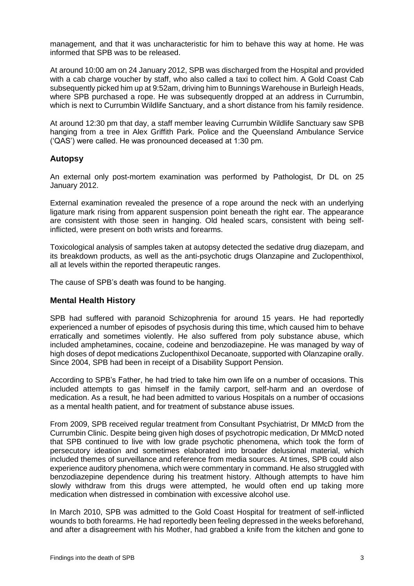management*,* and that it was uncharacteristic for him to behave this way at home. He was informed that SPB was to be released.

At around 10:00 am on 24 January 2012, SPB was discharged from the Hospital and provided with a cab charge voucher by staff, who also called a taxi to collect him. A Gold Coast Cab subsequently picked him up at 9:52am, driving him to Bunnings Warehouse in Burleigh Heads, where SPB purchased a rope. He was subsequently dropped at an address in Currumbin, which is next to Currumbin Wildlife Sanctuary, and a short distance from his family residence.

At around 12:30 pm that day, a staff member leaving Currumbin Wildlife Sanctuary saw SPB hanging from a tree in Alex Griffith Park. Police and the Queensland Ambulance Service ('QAS') were called. He was pronounced deceased at 1:30 pm.

## <span id="page-4-0"></span>**Autopsy**

An external only post-mortem examination was performed by Pathologist, Dr DL on 25 January 2012.

External examination revealed the presence of a rope around the neck with an underlying ligature mark rising from apparent suspension point beneath the right ear. The appearance are consistent with those seen in hanging. Old healed scars, consistent with being selfinflicted, were present on both wrists and forearms.

Toxicological analysis of samples taken at autopsy detected the sedative drug diazepam, and its breakdown products, as well as the anti-psychotic drugs Olanzapine and Zuclopenthixol, all at levels within the reported therapeutic ranges.

The cause of SPB's death was found to be hanging.

#### <span id="page-4-1"></span>**Mental Health History**

SPB had suffered with paranoid Schizophrenia for around 15 years. He had reportedly experienced a number of episodes of psychosis during this time, which caused him to behave erratically and sometimes violently. He also suffered from poly substance abuse, which included amphetamines, cocaine, codeine and benzodiazepine. He was managed by way of high doses of depot medications Zuclopenthixol Decanoate, supported with Olanzapine orally. Since 2004, SPB had been in receipt of a Disability Support Pension.

According to SPB's Father, he had tried to take him own life on a number of occasions. This included attempts to gas himself in the family carport, self-harm and an overdose of medication. As a result, he had been admitted to various Hospitals on a number of occasions as a mental health patient, and for treatment of substance abuse issues.

From 2009, SPB received regular treatment from Consultant Psychiatrist, Dr MMcD from the Currumbin Clinic. Despite being given high doses of psychotropic medication, Dr MMcD noted that SPB continued to live with low grade psychotic phenomena, which took the form of persecutory ideation and sometimes elaborated into broader delusional material, which included themes of surveillance and reference from media sources. At times, SPB could also experience auditory phenomena, which were commentary in command. He also struggled with benzodiazepine dependence during his treatment history. Although attempts to have him slowly withdraw from this drugs were attempted, he would often end up taking more medication when distressed in combination with excessive alcohol use.

In March 2010, SPB was admitted to the Gold Coast Hospital for treatment of self-inflicted wounds to both forearms. He had reportedly been feeling depressed in the weeks beforehand, and after a disagreement with his Mother, had grabbed a knife from the kitchen and gone to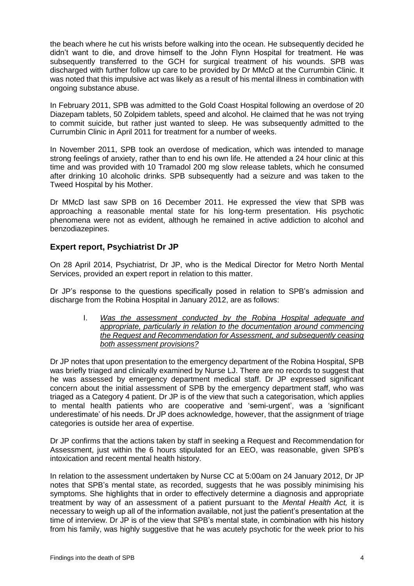the beach where he cut his wrists before walking into the ocean. He subsequently decided he didn't want to die, and drove himself to the John Flynn Hospital for treatment. He was subsequently transferred to the GCH for surgical treatment of his wounds. SPB was discharged with further follow up care to be provided by Dr MMcD at the Currumbin Clinic. It was noted that this impulsive act was likely as a result of his mental illness in combination with ongoing substance abuse.

In February 2011, SPB was admitted to the Gold Coast Hospital following an overdose of 20 Diazepam tablets, 50 Zolpidem tablets, speed and alcohol. He claimed that he was not trying to commit suicide, but rather just wanted to sleep. He was subsequently admitted to the Currumbin Clinic in April 2011 for treatment for a number of weeks.

In November 2011, SPB took an overdose of medication, which was intended to manage strong feelings of anxiety, rather than to end his own life. He attended a 24 hour clinic at this time and was provided with 10 Tramadol 200 mg slow release tablets, which he consumed after drinking 10 alcoholic drinks. SPB subsequently had a seizure and was taken to the Tweed Hospital by his Mother.

Dr MMcD last saw SPB on 16 December 2011. He expressed the view that SPB was approaching a reasonable mental state for his long-term presentation. His psychotic phenomena were not as evident, although he remained in active addiction to alcohol and benzodiazepines.

# <span id="page-5-0"></span>**Expert report, Psychiatrist Dr JP**

On 28 April 2014, Psychiatrist, Dr JP, who is the Medical Director for Metro North Mental Services, provided an expert report in relation to this matter.

Dr JP's response to the questions specifically posed in relation to SPB's admission and discharge from the Robina Hospital in January 2012, are as follows:

> I. *Was the assessment conducted by the Robina Hospital adequate and appropriate, particularly in relation to the documentation around commencing the Request and Recommendation for Assessment, and subsequently ceasing both assessment provisions?*

Dr JP notes that upon presentation to the emergency department of the Robina Hospital, SPB was briefly triaged and clinically examined by Nurse LJ. There are no records to suggest that he was assessed by emergency department medical staff. Dr JP expressed significant concern about the initial assessment of SPB by the emergency department staff, who was triaged as a Category 4 patient. Dr JP is of the view that such a categorisation, which applies to mental health patients who are cooperative and 'semi-urgent', was a 'significant underestimate' of his needs. Dr JP does acknowledge, however, that the assignment of triage categories is outside her area of expertise.

Dr JP confirms that the actions taken by staff in seeking a Request and Recommendation for Assessment, just within the 6 hours stipulated for an EEO, was reasonable, given SPB's intoxication and recent mental health history.

In relation to the assessment undertaken by Nurse CC at 5:00am on 24 January 2012, Dr JP notes that SPB's mental state, as recorded, suggests that he was possibly minimising his symptoms. She highlights that in order to effectively determine a diagnosis and appropriate treatment by way of an assessment of a patient pursuant to the *Mental Health Act,* it is necessary to weigh up all of the information available, not just the patient's presentation at the time of interview. Dr JP is of the view that SPB's mental state, in combination with his history from his family, was highly suggestive that he was acutely psychotic for the week prior to his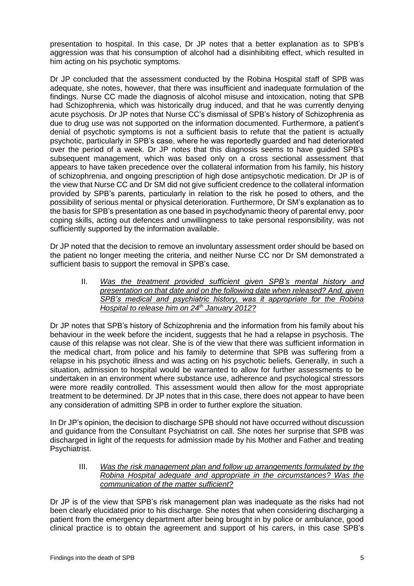presentation to hospital. In this case, Dr JP notes that a better explanation as to SPB's aggression was that his consumption of alcohol had a disinhibiting effect, which resulted in him acting on his psychotic symptoms.

Dr JP concluded that the assessment conducted by the Robina Hospital staff of SPB was adequate, she notes, however, that there was insufficient and inadequate formulation of the findings. Nurse CC made the diagnosis of alcohol misuse and intoxication, noting that SPB had Schizophrenia, which was historically drug induced, and that he was currently denying acute psychosis. Dr JP notes that Nurse CC's dismissal of SPB's history of Schizophrenia as due to drug use was not supported on the information documented. Furthermore, a patient's denial of psychotic symptoms is not a sufficient basis to refute that the patient is actually psychotic, particularly in SPB's case, where he was reportedly guarded and had deteriorated over the period of a week. Dr JP notes that this diagnosis seems to have guided SPB's subsequent management, which was based only on a cross sectional assessment that appears to have taken precedence over the collateral information from his family, his history of schizophrenia, and ongoing prescription of high dose antipsychotic medication. Dr JP is of the view that Nurse CC and Dr SM did not give sufficient credence to the collateral information provided by SPB's parents, particularly in relation to the risk he posed to others, and the possibility of serious mental or physical deterioration. Furthermore, Dr SM's explanation as to the basis for SPB's presentation as one based in psychodynamic theory of parental envy, poor coping skills, acting out defences and unwillingness to take personal responsibility, was not sufficiently supported by the information available.

Dr JP noted that the decision to remove an involuntary assessment order should be based on the patient no longer meeting the criteria, and neither Nurse CC nor Dr SM demonstrated a sufficient basis to support the removal in SPB's case.

II. *Was the treatment provided sufficient given SPB's mental history and presentation on that date and on the following date when released? And, given SPB's medical and psychiatric history, was it appropriate for the Robina Hospital to release him on 24th January 2012?*

Dr JP notes that SPB's history of Schizophrenia and the information from his family about his behaviour in the week before the incident, suggests that he had a relapse in psychosis. The cause of this relapse was not clear. She is of the view that there was sufficient information in the medical chart, from police and his family to determine that SPB was suffering from a relapse in his psychotic illness and was acting on his psychotic beliefs. Generally, in such a situation, admission to hospital would be warranted to allow for further assessments to be undertaken in an environment where substance use, adherence and psychological stressors were more readily controlled. This assessment would then allow for the most appropriate treatment to be determined. Dr JP notes that in this case, there does not appear to have been any consideration of admitting SPB in order to further explore the situation.

In Dr JP's opinion, the decision to discharge SPB should not have occurred without discussion and guidance from the Consultant Psychiatrist on call. She notes her surprise that SPB was discharged in light of the requests for admission made by his Mother and Father and treating Psychiatrist.

III. *Was the risk management plan and follow up arrangements formulated by the Robina Hospital adequate and appropriate in the circumstances? Was the communication of the matter sufficient?* 

Dr JP is of the view that SPB's risk management plan was inadequate as the risks had not been clearly elucidated prior to his discharge. She notes that when considering discharging a patient from the emergency department after being brought in by police or ambulance, good clinical practice is to obtain the agreement and support of his carers, in this case SPB's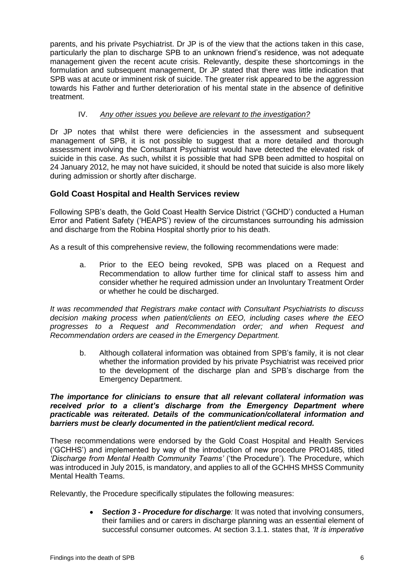parents, and his private Psychiatrist. Dr JP is of the view that the actions taken in this case, particularly the plan to discharge SPB to an unknown friend's residence, was not adequate management given the recent acute crisis. Relevantly, despite these shortcomings in the formulation and subsequent management, Dr JP stated that there was little indication that SPB was at acute or imminent risk of suicide. The greater risk appeared to be the aggression towards his Father and further deterioration of his mental state in the absence of definitive treatment.

## IV. *Any other issues you believe are relevant to the investigation?*

Dr JP notes that whilst there were deficiencies in the assessment and subsequent management of SPB, it is not possible to suggest that a more detailed and thorough assessment involving the Consultant Psychiatrist would have detected the elevated risk of suicide in this case. As such, whilst it is possible that had SPB been admitted to hospital on 24 January 2012, he may not have suicided, it should be noted that suicide is also more likely during admission or shortly after discharge.

# <span id="page-7-0"></span>**Gold Coast Hospital and Health Services review**

Following SPB's death, the Gold Coast Health Service District ('GCHD') conducted a Human Error and Patient Safety ('HEAPS') review of the circumstances surrounding his admission and discharge from the Robina Hospital shortly prior to his death.

As a result of this comprehensive review, the following recommendations were made:

a. Prior to the EEO being revoked, SPB was placed on a Request and Recommendation to allow further time for clinical staff to assess him and consider whether he required admission under an Involuntary Treatment Order or whether he could be discharged.

*It was recommended that Registrars make contact with Consultant Psychiatrists to discuss decision making process when patient/clients on EEO, including cases where the EEO progresses to a Request and Recommendation order; and when Request and Recommendation orders are ceased in the Emergency Department.*

b. Although collateral information was obtained from SPB's family, it is not clear whether the information provided by his private Psychiatrist was received prior to the development of the discharge plan and SPB's discharge from the Emergency Department.

#### *The importance for clinicians to ensure that all relevant collateral information was received prior to a client's discharge from the Emergency Department where practicable was reiterated. Details of the communication/collateral information and barriers must be clearly documented in the patient/client medical record.*

These recommendations were endorsed by the Gold Coast Hospital and Health Services ('GCHHS') and implemented by way of the introduction of new procedure PRO1485, titled *'Discharge from Mental Health Community Teams'* ('the Procedure')*.* The Procedure, which was introduced in July 2015, is mandatory, and applies to all of the GCHHS MHSS Community Mental Health Teams.

Relevantly, the Procedure specifically stipulates the following measures:

 *Section 3 - Procedure for discharge:* It was noted that involving consumers, their families and or carers in discharge planning was an essential element of successful consumer outcomes. At section 3.1.1. states that, *'It is imperative*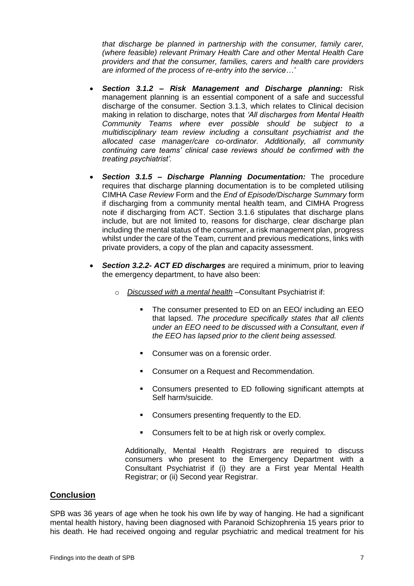*that discharge be planned in partnership with the consumer, family carer, (where feasible) relevant Primary Health Care and other Mental Health Care providers and that the consumer, families, carers and health care providers are informed of the process of re-entry into the service…'*

- *Section 3.1.2 – Risk Management and Discharge planning:* Risk management planning is an essential component of a safe and successful discharge of the consumer. Section 3.1.3, which relates to Clinical decision making in relation to discharge, notes that *'All discharges from Mental Health Community Teams where ever possible should be subject to a multidisciplinary team review including a consultant psychiatrist and the allocated case manager/care co-ordinator. Additionally, all community continuing care teams' clinical case reviews should be confirmed with the treating psychiatrist'.*
- *Section 3.1.5 – Discharge Planning Documentation:* The procedure requires that discharge planning documentation is to be completed utilising CIMHA *Case Review* Form and the *End of Episode/Discharge Summary* form if discharging from a community mental health team, and CIMHA Progress note if discharging from ACT. Section 3.1.6 stipulates that discharge plans include, but are not limited to, reasons for discharge, clear discharge plan including the mental status of the consumer, a risk management plan, progress whilst under the care of the Team, current and previous medications, links with private providers, a copy of the plan and capacity assessment.
- *Section 3.2.2- ACT ED discharges* are required a minimum, prior to leaving the emergency department, to have also been:
	- o *Discussed with a mental health* –Consultant Psychiatrist if:
		- The consumer presented to ED on an EEO/ including an EEO that lapsed. *The procedure specifically states that all clients under an EEO need to be discussed with a Consultant, even if the EEO has lapsed prior to the client being assessed.*
		- Consumer was on a forensic order.
		- Consumer on a Request and Recommendation.
		- Consumers presented to ED following significant attempts at Self harm/suicide.
		- **Consumers presenting frequently to the ED.**
		- **Consumers felt to be at high risk or overly complex.**

Additionally, Mental Health Registrars are required to discuss consumers who present to the Emergency Department with a Consultant Psychiatrist if (i) they are a First year Mental Health Registrar; or (ii) Second year Registrar.

#### <span id="page-8-0"></span>**Conclusion**

SPB was 36 years of age when he took his own life by way of hanging. He had a significant mental health history, having been diagnosed with Paranoid Schizophrenia 15 years prior to his death. He had received ongoing and regular psychiatric and medical treatment for his